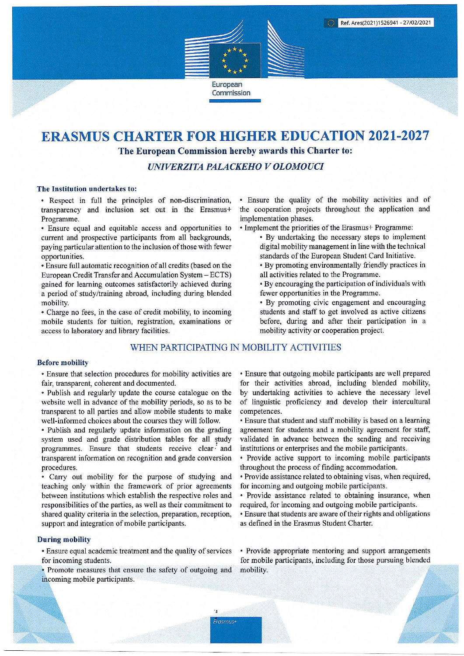

# **ERASMUS CHARTER FOR HIGHER EDUCATION 2021-2027**

The European Commission hereby awards this Charter to:

*UNIVERZITA PALACKEHO V OLOMOUCI* 

#### The Institution undertakes to:

• Respect in full the principles of non-discrimination, transparency and inclusion set out in the Erasmus+ Programme.

• Ensure equal and equitable access and opportunities to current and prospective participants from all backgrounds, paying particular attention to the inclusion of those with fewer opportunities.

• Ensure full automatic recognition of all credits (based on the European Credit Transfer and Accumulation System - ECTS) gained for learning outcomes satisfactorily achieved during a period of study/training abroad, including during blended mobility.

• Charge no fees, in the case of credit mobility, to incoming mobile students for tuition, registration, examinations or access to laboratory and library facilities.

### WHEN PARTICIPATING IN MOBILITY ACTIVITIES

#### **Before mobility**

• Ensure that selection procedures for mobility activities are fair, transparent, coherent and documented.

- Publish and regularly update the course catalogue on the website well in advance of the mobility periods, so as to be transparent to all parties and allow mobile students to make well-informed choices about the courses they will follow.
- Publish and regularly update information on the grading system used and grade distribution tables for all study programmes. Ensure that students receive clear and transparent information on recognition and grade conversion procedures.

• Carry out mobility for the purpose of studying and teaching only within the framework of prior agreements between institutions which establish the respective roles and responsibilities of the parties, as well as their commitment to shared quality criteria in the selection, preparation, reception, support and integration of mobile participants.

#### **During mobility**

• Ensure equal academic treatment and the quality of services for incoming students.

• Promote measures that ensure the safety of outgoing and incoming mobile participants.

• Ensure the quality of the mobility activities and of the cooperation projects throughout the application and implementation phases.

- Implement the priorities of the Erasmus+ Programme:
	- By undertaking the necessary steps to implement digital mobility management in line with the technical standards of the European Student Card Initiative.
	- By promoting environmentally friendly practices in all activities related to the Programme.
	- By encouraging the participation of individuals with fewer opportunities in the Programme.
	- By promoting civic engagement and encouraging students and staff to get involved as active citizens before, during and after their participation in a mobility activity or cooperation project.

• Ensure that outgoing mobile participants are well prepared for their activities abroad, including blended mobility, by undertaking activities to achieve the necessary level of linguistic proficiency and develop their intercultural competences.

• Ensure that student and staff mobility is based on a learning agreement for students and a mobility agreement for staff, validated in advance between the sending and receiving institutions or enterprises and the mobile participants.

- Provide active support to incoming mobile participants throughout the process of finding accommodation.
- Provide assistance related to obtaining visas, when required, for incoming and outgoing mobile participants.
- Provide assistance related to obtaining insurance, when required, for incoming and outgoing mobile participants.
- Ensure that students are aware of their rights and obligations as defined in the Erasmus Student Charter.

• Provide appropriate mentoring and support arrangements for mobile participants, including for those pursuing blended mobility.

Erasmus+

I

٠,